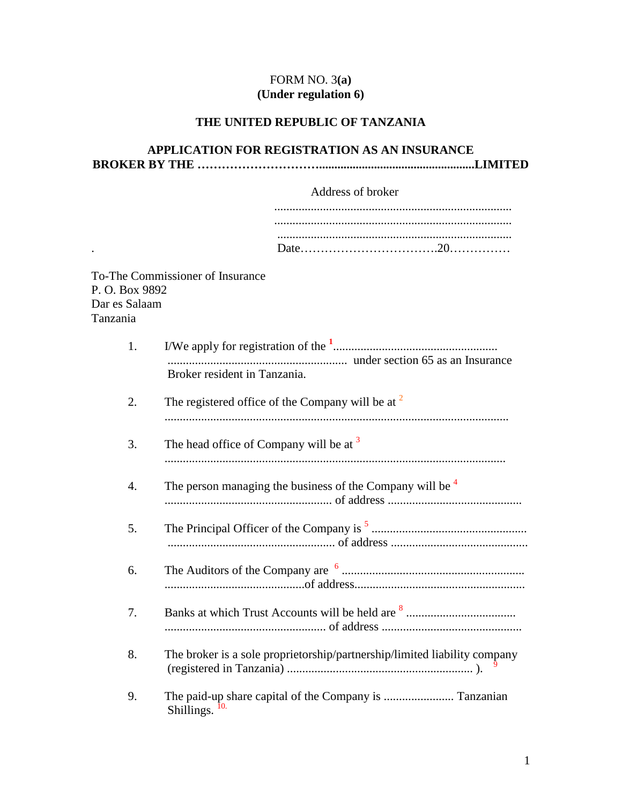# FORM NO. 3**(a) (Under regulation 6)**

# **THE UNITED REPUBLIC OF TANZANIA**

## **APPLICATION FOR REGISTRATION AS AN INSURANCE BROKER BY THE …………………………...................................................LIMITED**

|                                            | Address of broker                                                         |
|--------------------------------------------|---------------------------------------------------------------------------|
|                                            |                                                                           |
|                                            |                                                                           |
|                                            |                                                                           |
| P.O. Box 9892<br>Dar es Salaam<br>Tanzania | To-The Commissioner of Insurance                                          |
| 1.                                         |                                                                           |
|                                            | Broker resident in Tanzania.                                              |
| 2.                                         | The registered office of the Company will be at $2$                       |
| 3.                                         | The head office of Company will be at <sup>3</sup>                        |
| 4.                                         | The person managing the business of the Company will be $4\overline{ }$   |
| 5.                                         |                                                                           |
| 6.                                         |                                                                           |
| 7.                                         |                                                                           |
| 8.                                         | The broker is a sole proprietorship/partnership/limited liability company |
| 9.                                         | Shillings.                                                                |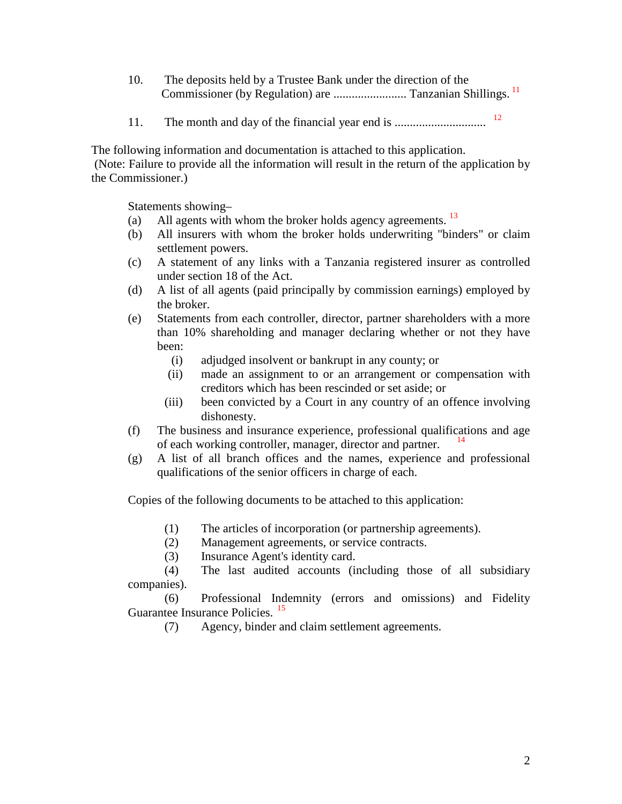- 10. The deposits held by a Trustee Bank under the direction of the Commissioner (by Regulation) are ........................ Tanzanian Shillings. <sup>11</sup>
- 11. The month and day of the financial year end is .............................. <sup>12</sup>

The following information and documentation is attached to this application.

(Note: Failure to provide all the information will result in the return of the application by the Commissioner.)

Statements showing–

- (a) All agents with whom the broker holds agency agreements.  $13$
- (b) All insurers with whom the broker holds underwriting "binders" or claim settlement powers.
- (c) A statement of any links with a Tanzania registered insurer as controlled under section 18 of the Act.
- (d) A list of all agents (paid principally by commission earnings) employed by the broker.
- (e) Statements from each controller, director, partner shareholders with a more than 10% shareholding and manager declaring whether or not they have been:
	- (i) adjudged insolvent or bankrupt in any county; or
	- (ii) made an assignment to or an arrangement or compensation with creditors which has been rescinded or set aside; or
	- (iii) been convicted by a Court in any country of an offence involving dishonesty.
- (f) The business and insurance experience, professional qualifications and age of each working controller, manager, director and partner.
- (g) A list of all branch offices and the names, experience and professional qualifications of the senior officers in charge of each.

Copies of the following documents to be attached to this application:

- (1) The articles of incorporation (or partnership agreements).
- (2) Management agreements, or service contracts.
- (3) Insurance Agent's identity card.

(4) The last audited accounts (including those of all subsidiary companies).

(6) Professional Indemnity (errors and omissions) and Fidelity Guarantee Insurance Policies.<sup>15</sup>

(7) Agency, binder and claim settlement agreements.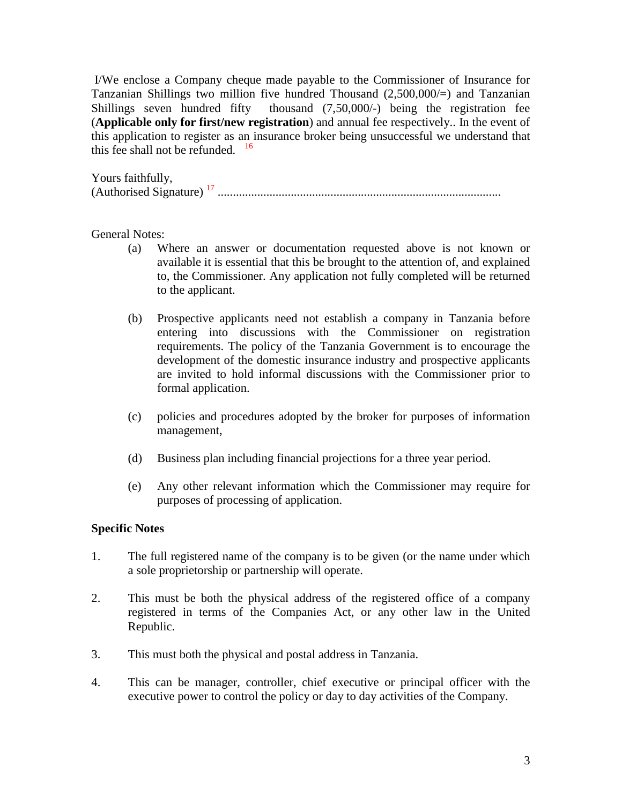I/We enclose a Company cheque made payable to the Commissioner of Insurance for Tanzanian Shillings two million five hundred Thousand  $(2,500,000/)=$  and Tanzanian Shillings seven hundred fifty thousand (7,50,000/-) being the registration fee (**Applicable only for first/new registration**) and annual fee respectively.. In the event of this application to register as an insurance broker being unsuccessful we understand that this fee shall not be refunded.  $16$ 

Yours faithfully, (Authorised Signature) <sup>17</sup> .............................................................................................

## General Notes:

- (a) Where an answer or documentation requested above is not known or available it is essential that this be brought to the attention of, and explained to, the Commissioner. Any application not fully completed will be returned to the applicant.
- (b) Prospective applicants need not establish a company in Tanzania before entering into discussions with the Commissioner on registration requirements. The policy of the Tanzania Government is to encourage the development of the domestic insurance industry and prospective applicants are invited to hold informal discussions with the Commissioner prior to formal application.
- (c) policies and procedures adopted by the broker for purposes of information management,
- (d) Business plan including financial projections for a three year period.
- (e) Any other relevant information which the Commissioner may require for purposes of processing of application.

#### **Specific Notes**

- 1. The full registered name of the company is to be given (or the name under which a sole proprietorship or partnership will operate.
- 2. This must be both the physical address of the registered office of a company registered in terms of the Companies Act, or any other law in the United Republic.
- 3. This must both the physical and postal address in Tanzania.
- 4. This can be manager, controller, chief executive or principal officer with the executive power to control the policy or day to day activities of the Company.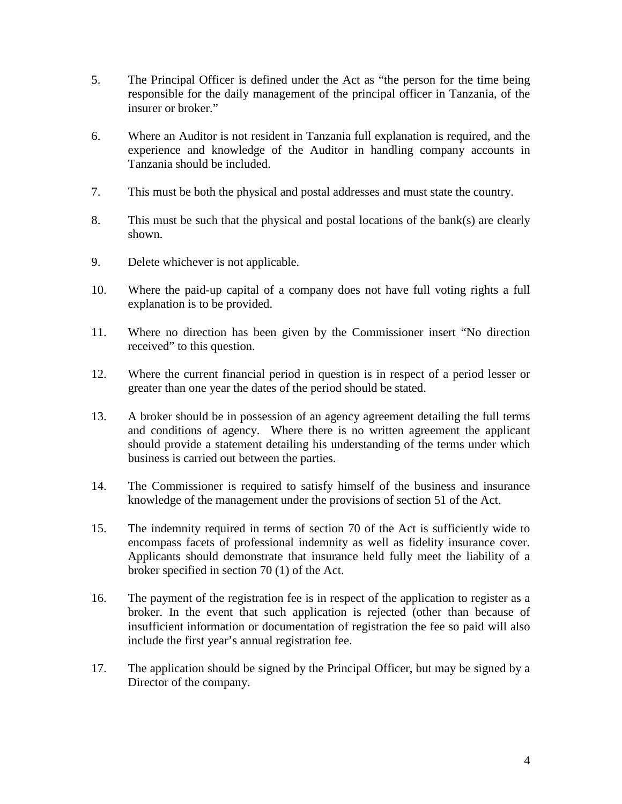- 5. The Principal Officer is defined under the Act as "the person for the time being responsible for the daily management of the principal officer in Tanzania, of the insurer or broker."
- 6. Where an Auditor is not resident in Tanzania full explanation is required, and the experience and knowledge of the Auditor in handling company accounts in Tanzania should be included.
- 7. This must be both the physical and postal addresses and must state the country.
- 8. This must be such that the physical and postal locations of the bank(s) are clearly shown.
- 9. Delete whichever is not applicable.
- 10. Where the paid-up capital of a company does not have full voting rights a full explanation is to be provided.
- 11. Where no direction has been given by the Commissioner insert "No direction received" to this question.
- 12. Where the current financial period in question is in respect of a period lesser or greater than one year the dates of the period should be stated.
- 13. A broker should be in possession of an agency agreement detailing the full terms and conditions of agency. Where there is no written agreement the applicant should provide a statement detailing his understanding of the terms under which business is carried out between the parties.
- 14. The Commissioner is required to satisfy himself of the business and insurance knowledge of the management under the provisions of section 51 of the Act.
- 15. The indemnity required in terms of section 70 of the Act is sufficiently wide to encompass facets of professional indemnity as well as fidelity insurance cover. Applicants should demonstrate that insurance held fully meet the liability of a broker specified in section 70 (1) of the Act.
- 16. The payment of the registration fee is in respect of the application to register as a broker. In the event that such application is rejected (other than because of insufficient information or documentation of registration the fee so paid will also include the first year's annual registration fee.
- 17. The application should be signed by the Principal Officer, but may be signed by a Director of the company.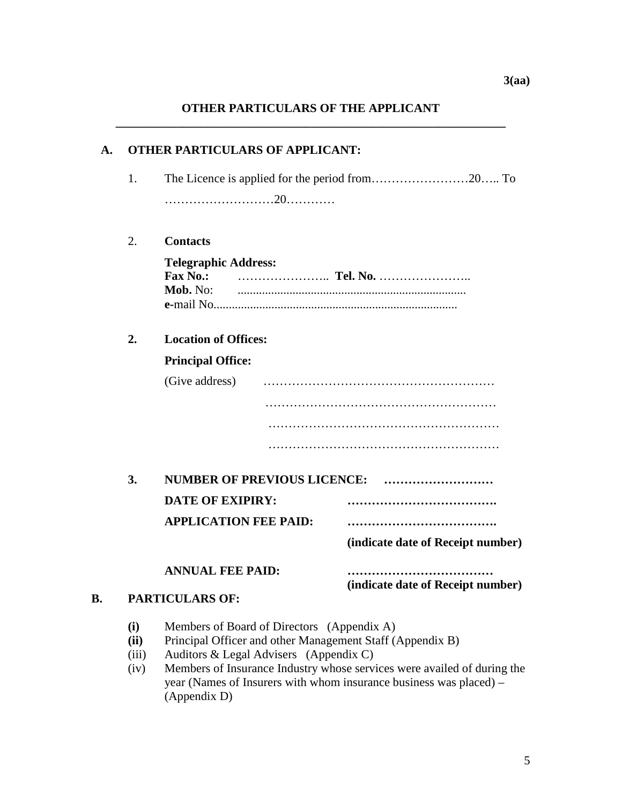# **OTHER PARTICULARS OF THE APPLICANT \_\_\_\_\_\_\_\_\_\_\_\_\_\_\_\_\_\_\_\_\_\_\_\_\_\_\_\_\_\_\_\_\_\_\_\_\_\_\_\_\_\_\_\_\_\_\_\_\_\_\_\_\_\_\_\_\_\_\_\_\_\_\_\_**

| A. | <b>OTHER PARTICULARS OF APPLICANT:</b> |                                                                                                                                                                                                                                                                                                                    |                                   |  |  |  |  |  |
|----|----------------------------------------|--------------------------------------------------------------------------------------------------------------------------------------------------------------------------------------------------------------------------------------------------------------------------------------------------------------------|-----------------------------------|--|--|--|--|--|
|    | 1.                                     |                                                                                                                                                                                                                                                                                                                    |                                   |  |  |  |  |  |
|    |                                        |                                                                                                                                                                                                                                                                                                                    |                                   |  |  |  |  |  |
|    |                                        |                                                                                                                                                                                                                                                                                                                    |                                   |  |  |  |  |  |
|    | 2.                                     | <b>Contacts</b>                                                                                                                                                                                                                                                                                                    |                                   |  |  |  |  |  |
|    |                                        | <b>Telegraphic Address:</b><br><b>Fax No.:</b><br>Mob. No:                                                                                                                                                                                                                                                         |                                   |  |  |  |  |  |
|    | 2.                                     | <b>Location of Offices:</b>                                                                                                                                                                                                                                                                                        |                                   |  |  |  |  |  |
|    |                                        | <b>Principal Office:</b>                                                                                                                                                                                                                                                                                           |                                   |  |  |  |  |  |
|    |                                        | (Give address)                                                                                                                                                                                                                                                                                                     |                                   |  |  |  |  |  |
|    |                                        |                                                                                                                                                                                                                                                                                                                    |                                   |  |  |  |  |  |
|    |                                        |                                                                                                                                                                                                                                                                                                                    |                                   |  |  |  |  |  |
|    |                                        |                                                                                                                                                                                                                                                                                                                    |                                   |  |  |  |  |  |
|    | 3.                                     | NUMBER OF PREVIOUS LICENCE:                                                                                                                                                                                                                                                                                        |                                   |  |  |  |  |  |
|    |                                        | <b>DATE OF EXIPIRY:</b>                                                                                                                                                                                                                                                                                            |                                   |  |  |  |  |  |
|    |                                        | <b>APPLICATION FEE PAID:</b>                                                                                                                                                                                                                                                                                       |                                   |  |  |  |  |  |
|    |                                        |                                                                                                                                                                                                                                                                                                                    | (indicate date of Receipt number) |  |  |  |  |  |
|    |                                        | <b>ANNUAL FEE PAID:</b>                                                                                                                                                                                                                                                                                            | (indicate date of Receipt number) |  |  |  |  |  |
| В. | <b>PARTICULARS OF:</b>                 |                                                                                                                                                                                                                                                                                                                    |                                   |  |  |  |  |  |
|    | (i)<br>(ii)<br>(iii)<br>(iv)           | Members of Board of Directors (Appendix A)<br>Principal Officer and other Management Staff (Appendix B)<br>Auditors & Legal Advisers (Appendix C)<br>Members of Insurance Industry whose services were availed of during the<br>year (Names of Insurers with whom insurance business was placed) –<br>(Appendix D) |                                   |  |  |  |  |  |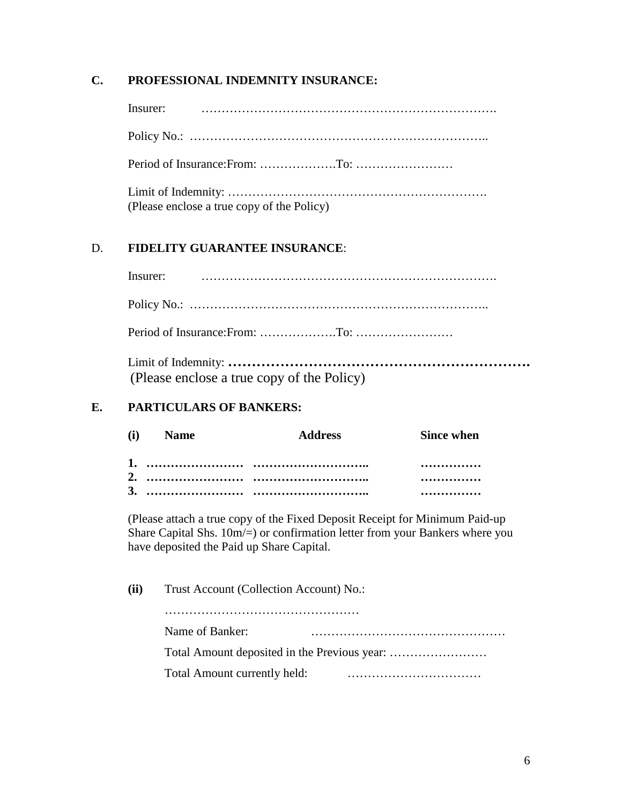## **C. PROFESSIONAL INDEMNITY INSURANCE:**

Insurer: ……………………………………………………………….

Policy No.: ………………………………………………………………..

Period of Insurance:From: ……………….To: ……………………

| (Please enclose a true copy of the Policy) |
|--------------------------------------------|

# D. **FIDELITY GUARANTEE INSURANCE**:

Limit of Indemnity: **……………………………………………………….** (Please enclose a true copy of the Policy)

# **E. PARTICULARS OF BANKERS:**

| (i) Name | <b>Address</b> | <b>Since when</b> |
|----------|----------------|-------------------|
|          |                |                   |
|          |                |                   |

(Please attach a true copy of the Fixed Deposit Receipt for Minimum Paid-up Share Capital Shs. 10m/=) or confirmation letter from your Bankers where you have deposited the Paid up Share Capital.

| (ii) | Trust Account (Collection Account) No.: |  |  |  |  |  |  |  |
|------|-----------------------------------------|--|--|--|--|--|--|--|
|      |                                         |  |  |  |  |  |  |  |
|      | Name of Banker:                         |  |  |  |  |  |  |  |
|      |                                         |  |  |  |  |  |  |  |
|      | Total Amount currently held:            |  |  |  |  |  |  |  |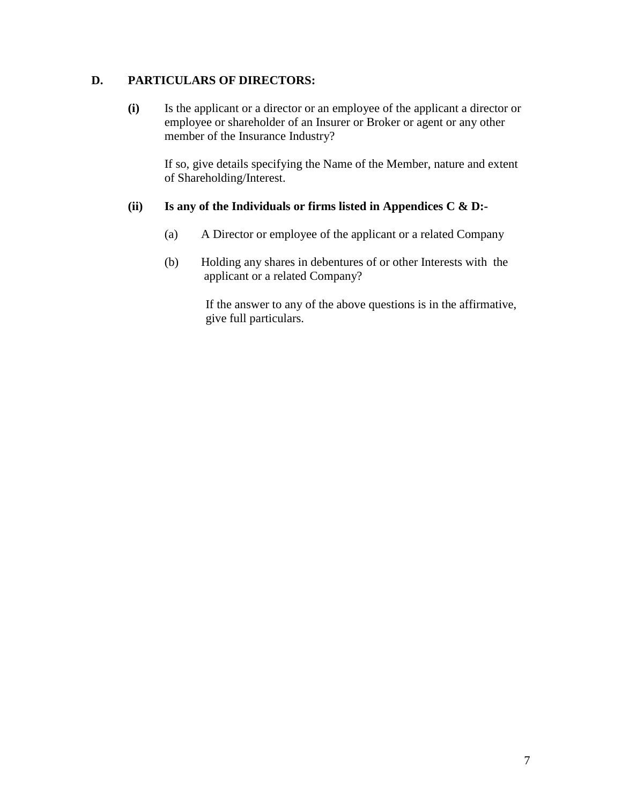## **D. PARTICULARS OF DIRECTORS:**

**(i)** Is the applicant or a director or an employee of the applicant a director or employee or shareholder of an Insurer or Broker or agent or any other member of the Insurance Industry?

If so, give details specifying the Name of the Member, nature and extent of Shareholding/Interest.

#### **(ii) Is any of the Individuals or firms listed in Appendices C & D:-**

- (a) A Director or employee of the applicant or a related Company
- (b) Holding any shares in debentures of or other Interests with the applicant or a related Company?

If the answer to any of the above questions is in the affirmative, give full particulars.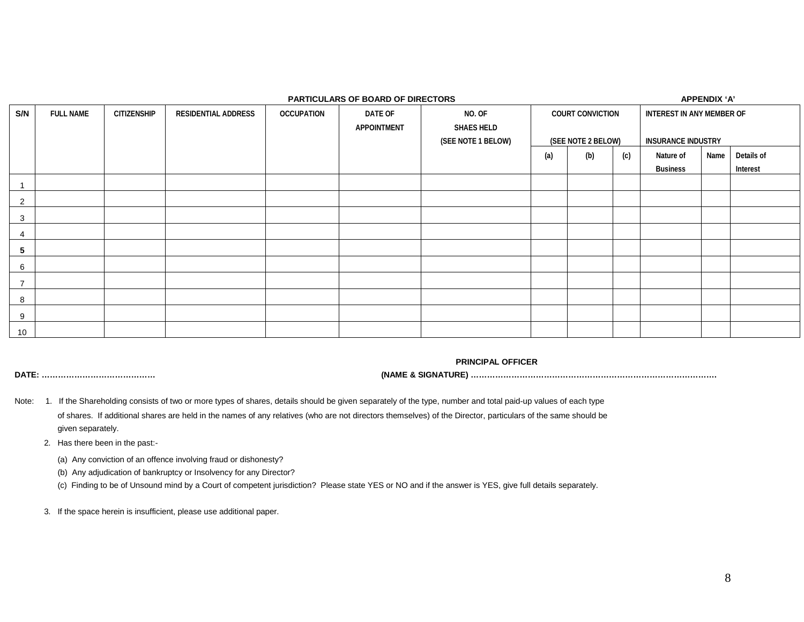|                 | <b>PARTICULARS OF BOARD OF DIRECTORS</b><br>APPENDIX 'A' |             |                            |                   |             |                                         |                         |                    |     |                           |      |            |
|-----------------|----------------------------------------------------------|-------------|----------------------------|-------------------|-------------|-----------------------------------------|-------------------------|--------------------|-----|---------------------------|------|------------|
| S/N             | <b>FULL NAME</b>                                         | CITIZENSHIP | <b>RESIDENTIAL ADDRESS</b> | <b>OCCUPATION</b> | DATE OF     | NO. OF                                  | <b>COURT CONVICTION</b> |                    |     | INTEREST IN ANY MEMBER OF |      |            |
|                 |                                                          |             |                            |                   | APPOINTMENT | <b>SHAES HELD</b><br>(SEE NOTE 1 BELOW) |                         | (SEE NOTE 2 BELOW) |     | <b>INSURANCE INDUSTRY</b> |      |            |
|                 |                                                          |             |                            |                   |             |                                         | (a)                     | (b)                | (c) | Nature of                 | Name | Details of |
|                 |                                                          |             |                            |                   |             |                                         |                         |                    |     | <b>Business</b>           |      | Interest   |
|                 |                                                          |             |                            |                   |             |                                         |                         |                    |     |                           |      |            |
| 2               |                                                          |             |                            |                   |             |                                         |                         |                    |     |                           |      |            |
| 3               |                                                          |             |                            |                   |             |                                         |                         |                    |     |                           |      |            |
| 4               |                                                          |             |                            |                   |             |                                         |                         |                    |     |                           |      |            |
| 5               |                                                          |             |                            |                   |             |                                         |                         |                    |     |                           |      |            |
| 6               |                                                          |             |                            |                   |             |                                         |                         |                    |     |                           |      |            |
| $\overline{7}$  |                                                          |             |                            |                   |             |                                         |                         |                    |     |                           |      |            |
| 8               |                                                          |             |                            |                   |             |                                         |                         |                    |     |                           |      |            |
| 9               |                                                          |             |                            |                   |             |                                         |                         |                    |     |                           |      |            |
| 10 <sup>1</sup> |                                                          |             |                            |                   |             |                                         |                         |                    |     |                           |      |            |

**PRINCIPAL OFFICER**

**DATE: …………………………………… (NAME & SIGNATURE) ……………………………………………………………………………….**

- Note: 1. If the Shareholding consists of two or more types of shares, details should be given separately of the type, number and total paid-up values of each type of shares. If additional shares are held in the names of any relatives (who are not directors themselves) of the Director, particulars of the same should be given separately.
	- 2. Has there been in the past:-

(a) Any conviction of an offence involving fraud or dishonesty?

(b) Any adjudication of bankruptcy or Insolvency for any Director?

(c) Finding to be of Unsound mind by a Court of competent jurisdiction? Please state YES or NO and if the answer is YES, give full details separately.

3. If the space herein is insufficient, please use additional paper.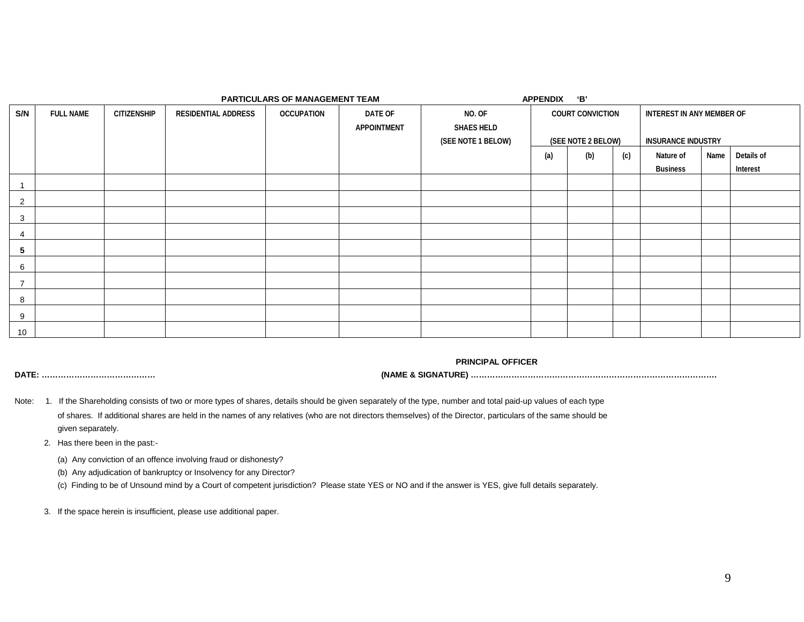| PARTICULARS OF MANAGEMENT TEAM |                  |                    |                            |                   |             | <b>APPENDIX</b>    | 'В' |                         |     |                           |      |            |
|--------------------------------|------------------|--------------------|----------------------------|-------------------|-------------|--------------------|-----|-------------------------|-----|---------------------------|------|------------|
| S/N                            | <b>FULL NAME</b> | <b>CITIZENSHIP</b> | <b>RESIDENTIAL ADDRESS</b> | <b>OCCUPATION</b> | DATE OF     | NO. OF             |     | <b>COURT CONVICTION</b> |     | INTEREST IN ANY MEMBER OF |      |            |
|                                |                  |                    |                            |                   | APPOINTMENT | <b>SHAES HELD</b>  |     |                         |     |                           |      |            |
|                                |                  |                    |                            |                   |             | (SEE NOTE 1 BELOW) |     | (SEE NOTE 2 BELOW)      |     | <b>INSURANCE INDUSTRY</b> |      |            |
|                                |                  |                    |                            |                   |             |                    | (a) | (b)                     | (c) | Nature of                 | Name | Details of |
|                                |                  |                    |                            |                   |             |                    |     |                         |     | <b>Business</b>           |      | Interest   |
|                                |                  |                    |                            |                   |             |                    |     |                         |     |                           |      |            |
| 2                              |                  |                    |                            |                   |             |                    |     |                         |     |                           |      |            |
| 3                              |                  |                    |                            |                   |             |                    |     |                         |     |                           |      |            |
| 4                              |                  |                    |                            |                   |             |                    |     |                         |     |                           |      |            |
| 5                              |                  |                    |                            |                   |             |                    |     |                         |     |                           |      |            |
| 6                              |                  |                    |                            |                   |             |                    |     |                         |     |                           |      |            |
| $\overline{\phantom{a}}$       |                  |                    |                            |                   |             |                    |     |                         |     |                           |      |            |
| 8                              |                  |                    |                            |                   |             |                    |     |                         |     |                           |      |            |
| 9                              |                  |                    |                            |                   |             |                    |     |                         |     |                           |      |            |
| 10                             |                  |                    |                            |                   |             |                    |     |                         |     |                           |      |            |

**PRINCIPAL OFFICER**

**DATE: …………………………………… (NAME & SIGNATURE) ……………………………………………………………………………….**

- Note: 1. If the Shareholding consists of two or more types of shares, details should be given separately of the type, number and total paid-up values of each type of shares. If additional shares are held in the names of any relatives (who are not directors themselves) of the Director, particulars of the same should be given separately.
	- 2. Has there been in the past:-
		- (a) Any conviction of an offence involving fraud or dishonesty?
		- (b) Any adjudication of bankruptcy or Insolvency for any Director?
		- (c) Finding to be of Unsound mind by a Court of competent jurisdiction? Please state YES or NO and if the answer is YES, give full details separately.
	- 3. If the space herein is insufficient, please use additional paper.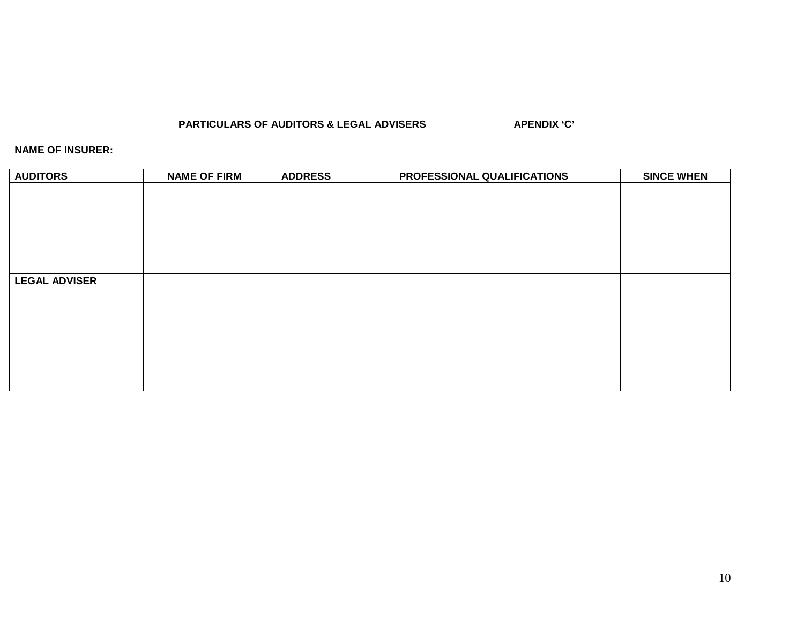#### **PARTICULARS OF AUDITORS & LEGAL ADVISERS APENDIX 'C'**

#### **NAME OF INSURER:**

| <b>AUDITORS</b>      | <b>NAME OF FIRM</b> | <b>ADDRESS</b> | PROFESSIONAL QUALIFICATIONS | <b>SINCE WHEN</b> |
|----------------------|---------------------|----------------|-----------------------------|-------------------|
|                      |                     |                |                             |                   |
|                      |                     |                |                             |                   |
|                      |                     |                |                             |                   |
|                      |                     |                |                             |                   |
|                      |                     |                |                             |                   |
|                      |                     |                |                             |                   |
| <b>LEGAL ADVISER</b> |                     |                |                             |                   |
|                      |                     |                |                             |                   |
|                      |                     |                |                             |                   |
|                      |                     |                |                             |                   |
|                      |                     |                |                             |                   |
|                      |                     |                |                             |                   |
|                      |                     |                |                             |                   |
|                      |                     |                |                             |                   |
|                      |                     |                |                             |                   |